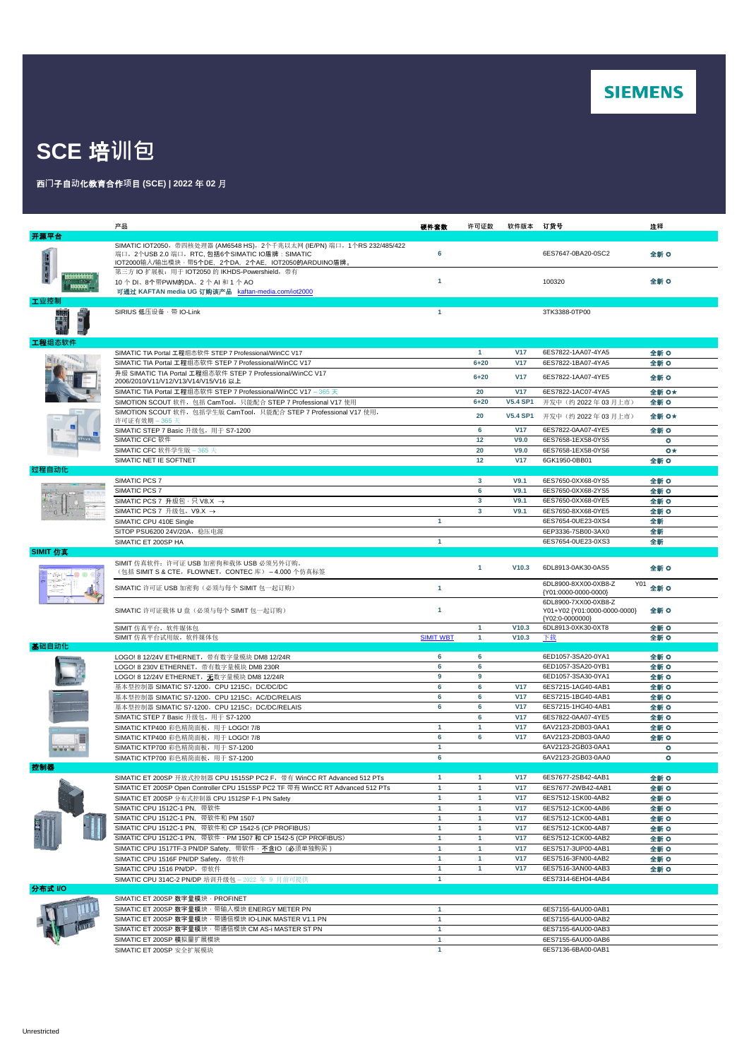

## **SCE** 培**训包**

## 西**门**子自**动**化教育合作**项**目 **(SCE) | 2022** 年 **02** 月

|          | 产品                                                                                                                                                                                    | 硬件套数                         | 许可证数                 | 软件版本 订货号                      |                                                                              | 注释             |
|----------|---------------------------------------------------------------------------------------------------------------------------------------------------------------------------------------|------------------------------|----------------------|-------------------------------|------------------------------------------------------------------------------|----------------|
| 开源平台     |                                                                                                                                                                                       |                              |                      |                               |                                                                              |                |
|          | SIMATIC IOT2050, 带四核处理器 (AM6548 HS), 2个千兆以太网 (IE/PN) 端口, 1个RS 232/485/422<br>端口, 2个USB 2.0 端口, RTC, 包括6个SIMATIC IO盾牌: SIMATIC<br>IOT2000输入/输出模块·带5个DE, 2个DA, 2个AE, IOT2050的ARDUINO盾牌。 | 6                            |                      |                               | 6ES7647-0BA20-0SC2                                                           | 全新 O           |
| ■ 新川 の湯  | 第三方 IO 扩展板: 用于 IOT2050 的 IKHDS-Powershield, 带有<br>10个DI、8个带PWM的DA、2个AI和1个AO<br>可通过 KAFTAN media UG 订购该产品 kaftan-media.com/iot2000                                                     | -1                           |                      |                               | 100320                                                                       | 全新 〇           |
| 工业控制     |                                                                                                                                                                                       |                              |                      |                               |                                                                              |                |
|          | SIRIUS 低压设备 · 带 IO-Link                                                                                                                                                               | $\blacktriangleleft$         |                      |                               | 3TK3388-0TP00                                                                |                |
| 工程组态软件   |                                                                                                                                                                                       |                              |                      |                               |                                                                              |                |
|          | SIMATIC TIA Portal 工程组态软件 STEP 7 Professional/WinCC V17                                                                                                                               |                              | $\mathbf{1}$         | <b>V17</b>                    | 6ES7822-1AA07-4YA5                                                           | 全新 O           |
|          | SIMATIC TIA Portal 工程组态软件 STEP 7 Professional/WinCC V17                                                                                                                               |                              | $6 + 20$             | <b>V17</b>                    | 6ES7822-1BA07-4YA5                                                           | 全新 〇           |
|          | 升级 SIMATIC TIA Portal 工程组态软件 STEP 7 Professional/WinCC V17<br>2006/2010/V11/V12/V13/V14/V15/V16 以上                                                                                    |                              | $6 + 20$             | <b>V17</b>                    | 6ES7822-1AA07-4YE5                                                           | 全新 〇           |
|          | SIMATIC TIA Portal 工程组态软件 STEP 7 Professional/WinCC V17 - 365 天                                                                                                                       |                              | 20                   | <b>V17</b>                    | 6ES7822-1AC07-4YA5                                                           | 全新 O★          |
|          | SIMOTION SCOUT 软件, 包括 CamTool, 只能配合 STEP 7 Professional V17 使用                                                                                                                        |                              | $6 + 20$             | <b>V5.4 SP1</b>               | 开发中(约 2022年03月上市)                                                            | 全新 〇           |
|          | SIMOTION SCOUT 软件, 包括学生版 CamTool, 只能配合 STEP 7 Professional V17 使用,<br>许可证有效期 – 365 天<br>SIMATIC STEP 7 Basic 升级包, 用于 S7-1200                                                          |                              | 20<br>6              | <b>V5.4 SP1</b><br><b>V17</b> | 开发中(约 2022年03月上市)<br>6ES7822-0AA07-4YE5                                      | 全新 O*<br>全新 O  |
|          | SIMATIC CFC 软件                                                                                                                                                                        |                              | 12                   | V9.0                          | 6ES7658-1EX58-0YS5                                                           | ۰              |
|          | SIMATIC CFC 软件学生版 - 365 天                                                                                                                                                             |                              | 20                   | V9.0                          | 6ES7658-1EX58-0YS6                                                           | $\bullet\star$ |
|          | SIMATIC NET IE SOFTNET                                                                                                                                                                |                              | 12                   | <b>V17</b>                    | 6GK1950-0BB01                                                                | 全新 〇           |
| 过程自动化    |                                                                                                                                                                                       |                              |                      |                               |                                                                              |                |
|          | SIMATIC PCS 7                                                                                                                                                                         |                              | $\mathbf{3}$         | V9.1                          | 6ES7650-0XX68-0YS5                                                           | 全新 O           |
|          | SIMATIC PCS 7                                                                                                                                                                         |                              | 6                    | V9.1                          | 6ES7650-0XX68-2YS5                                                           | 全新 O           |
|          | SIMATIC PCS 7 升级包 · 只 V8.X →                                                                                                                                                          |                              | 3                    | V9.1                          | 6ES7650-0XX68-0YE5                                                           | 全新 O           |
|          | SIMATIC PCS 7 升级包, V9.X →                                                                                                                                                             |                              | 3                    | V9.1                          | 6ES7650-8XX68-0YE5                                                           | 全新 O           |
|          | SIMATIC CPU 410E Single                                                                                                                                                               | $\mathbf{1}$                 |                      |                               | 6ES7654-0UE23-0XS4                                                           | 全新             |
|          | SITOP PSU6200 24V/20A, 稳压电源                                                                                                                                                           |                              |                      |                               | 6EP3336-7SB00-3AX0                                                           | 全新             |
|          | SIMATIC ET 200SP HA                                                                                                                                                                   | $\mathbf{1}$                 |                      |                               | 6ES7654-0UE23-0XS3                                                           | 全新             |
| SIMIT 仿真 | SIMIT 仿真软件: 许可证 USB 加密狗和载体 USB 必须另外订购。                                                                                                                                                |                              | 1                    | V10.3                         | 6DL8913-0AK30-0AS5                                                           | 全新 〇           |
|          | (包括 SIMIT S & CTE, FLOWNET, CONTEC 库) -4.000 个仿真标签<br>SIMATIC 许可证 USB 加密狗(必须与每个 SIMIT 包一起订购)                                                                                          | $\mathbf{1}$                 |                      |                               | 6DL8900-8XX00-0XB8-Z<br>Y01                                                  | 全新 O           |
|          | SIMATIC 许可证载体 U 盘(必须与每个 SIMIT 包一起订购)                                                                                                                                                  | -1                           |                      |                               | {Y01:0000-0000-0000}<br>6DL8900-7XX00-0XB8-Z<br>Y01+Y02 {Y01:0000-0000-0000} | 全新 O           |
|          |                                                                                                                                                                                       |                              |                      |                               | {Y02:0-0000000}                                                              |                |
|          | SIMIT 仿真平台, 软件媒体包                                                                                                                                                                     |                              | 1                    | V10.3                         | 6DL8913-0XK30-0XT8                                                           | 全新 O           |
|          | SIMIT 仿真平台试用版, 软件媒体包                                                                                                                                                                  | <b>SIMIT WBT</b>             | $\mathbf{1}$         | V10.3                         | 下载                                                                           | 全新 O           |
| 基础自动化    |                                                                                                                                                                                       | 6                            | 6                    |                               | 6ED1057-3SA20-0YA1                                                           | 全新 O           |
|          | LOGO! 8 12/24V ETHERNET, 带有数字量模块 DM8 12/24R<br>LOGO! 8 230V ETHERNET, 带有数字量模块 DM8 230R                                                                                                | 6                            | 6                    |                               | 6ED1057-3SA20-0YB1                                                           | 全新 O           |
|          | LOGO! 8 12/24V ETHERNET, 无数字量模块 DM8 12/24R                                                                                                                                            | 9                            | 9                    |                               | 6ED1057-3SA30-0YA1                                                           | 全新 O           |
|          | 基本型控制器 SIMATIC S7-1200, CPU 1215C; DC/DC/DC                                                                                                                                           | 6                            | 6                    | <b>V17</b>                    | 6ES7215-1AG40-4AB1                                                           | 全新 〇           |
|          | 基本型控制器 SIMATIC S7-1200, CPU 1215C; AC/DC/RELAIS                                                                                                                                       | 6                            | 6                    | <b>V17</b>                    | 6ES7215-1BG40-4AB1                                                           | 全新 O           |
|          | 基本型控制器 SIMATIC S7-1200, CPU 1215C; DC/DC/RELAIS                                                                                                                                       | 6                            | 6                    | <b>V17</b>                    | 6ES7215-1HG40-4AB1                                                           | 全新 O           |
|          | SIMATIC STEP 7 Basic 升级包, 用于 S7-1200                                                                                                                                                  |                              | 6                    | <b>V17</b>                    | 6ES7822-0AA07-4YE5                                                           | 全新 O           |
|          | SIMATIC KTP400 彩色精简面板, 用于 LOGO! 7/8                                                                                                                                                   | $\mathbf{1}$                 | $\blacktriangleleft$ | <b>V17</b>                    | 6AV2123-2DB03-0AA1                                                           | 全新 O           |
|          | SIMATIC KTP400 彩色精简面板, 用于 LOGO! 7/8                                                                                                                                                   | 6                            | 6                    | <b>V17</b>                    | 6AV2123-2DB03-0AA0                                                           | 全新 O           |
| .        | SIMATIC KTP700 彩色精简面板, 用于 S7-1200                                                                                                                                                     | 1                            |                      |                               | 6AV2123-2GB03-0AA1                                                           | ۰              |
| 控制器      | SIMATIC KTP700 彩色精简面板, 用于 S7-1200                                                                                                                                                     | 6                            |                      |                               | 6AV2123-2GB03-0AA0                                                           | ۰              |
|          | SIMATIC ET 200SP 开放式控制器 CPU 1515SP PC2 F, 带有 WinCC RT Advanced 512 PTs                                                                                                                | 1                            | $\blacktriangleleft$ | <b>V<sub>17</sub></b>         | 6ES7677-2SB42-4AB1                                                           | 全新 O           |
|          | SIMATIC ET 200SP Open Controller CPU 1515SP PC2 TF 带有 WinCC RT Advanced 512 PTs                                                                                                       | 1                            | $\blacktriangleleft$ | <b>V17</b>                    | 6ES7677-2WB42-4AB1                                                           | 全新 O           |
|          | SIMATIC ET 200SP 分布式控制器 CPU 1512SP F-1 PN Safety                                                                                                                                      | $\mathbf{1}$                 | 1                    | <b>V17</b>                    | 6ES7512-1SK00-4AB2                                                           | 全新 O           |
|          | SIMATIC CPU 1512C-1 PN, 带软件                                                                                                                                                           | $\mathbf{1}$                 | $\mathbf{1}$         | <b>V17</b>                    | 6ES7512-1CK00-4AB6                                                           | 全新 O           |
|          | SIMATIC CPU 1512C-1 PN, 带软件和 PM 1507                                                                                                                                                  | $\mathbf{1}$                 | $\mathbf{1}$         | <b>V17</b>                    | 6ES7512-1CK00-4AB1                                                           | 全新 O           |
|          | SIMATIC CPU 1512C-1 PN, 带软件和 CP 1542-5 (CP PROFIBUS)                                                                                                                                  | $\mathbf{1}$                 | $\mathbf{1}$         | <b>V17</b>                    | 6ES7512-1CK00-4AB7                                                           | 全新 〇           |
|          | SIMATIC CPU 1512C-1 PN, 带软件 · PM 1507 和 CP 1542-5 (CP PROFIBUS)                                                                                                                       | $\mathbf{1}$                 | $\mathbf{1}$         | <b>V17</b>                    | 6ES7512-1CK00-4AB2                                                           | 全新 O           |
|          | SIMATIC CPU 1517TF-3 PN/DP Safety, 带软件 · 不含IO (必须单独购买)                                                                                                                                | $\mathbf{1}$                 | $\mathbf{1}$         | <b>V17</b><br><b>V17</b>      | 6ES7517-3UP00-4AB1                                                           | 全新 O           |
|          | SIMATIC CPU 1516F PN/DP Safety, 带软件                                                                                                                                                   | $\mathbf{1}$<br>$\mathbf{1}$ | 1<br>$\mathbf{1}$    | <b>V17</b>                    | 6ES7516-3FN00-4AB2<br>6ES7516-3AN00-4AB3                                     | 全新 O           |
|          | SIMATIC CPU 1516 PN/DP, 带软件                                                                                                                                                           | -1                           |                      |                               | 6ES7314-6EH04-4AB4                                                           | 全新 O           |
| 分布式 VO   | SIMATIC CPU 314C-2 PN/DP 培训升级包 - 2022 年 9 月前可提供                                                                                                                                       |                              |                      |                               |                                                                              |                |
|          | SIMATIC ET 200SP 数字量模块 · PROFINET                                                                                                                                                     |                              |                      |                               |                                                                              |                |
|          | SIMATIC ET 200SP 数字量模块 · 带输入模块 ENERGY METER PN                                                                                                                                        | 1                            |                      |                               | 6ES7155-6AU00-0AB1                                                           |                |
|          | SIMATIC ET 200SP 数字量模块 · 带通信模块 IO-LINK MASTER V1.1 PN                                                                                                                                 | $\mathbf{1}$                 |                      |                               | 6ES7155-6AU00-0AB2                                                           |                |
|          | SIMATIC ET 200SP 数字量模块 · 带通信模块 CM AS-i MASTER ST PN                                                                                                                                   | $\mathbf{1}$                 |                      |                               | 6ES7155-6AU00-0AB3                                                           |                |
|          | SIMATIC ET 200SP 模拟量扩展模块                                                                                                                                                              | $\mathbf{1}$                 |                      |                               | 6ES7155-6AU00-0AB6                                                           |                |
|          | SIMATIC ET 200SP 安全扩展模块                                                                                                                                                               | $\mathbf{1}$                 |                      |                               | 6ES7136-6BA00-0AB1                                                           |                |
|          |                                                                                                                                                                                       |                              |                      |                               |                                                                              |                |